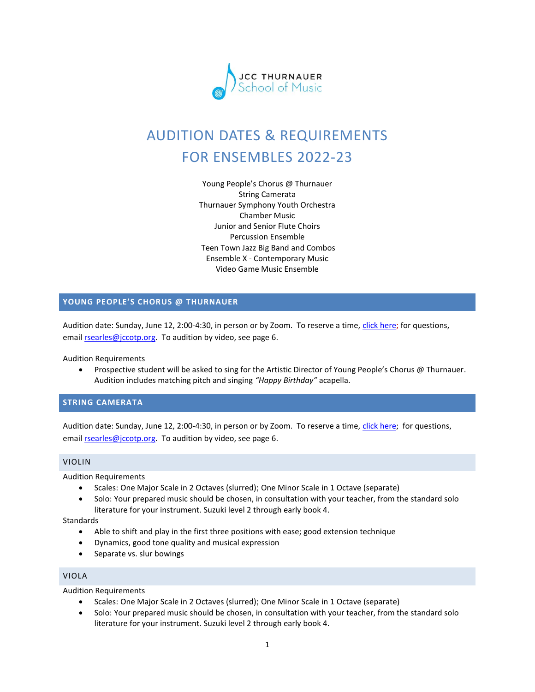

# AUDITION DATES & REQUIREMENTS FOR ENSEMBLES 2022-23

Young People's Chorus @ Thurnauer String Camerata Thurnauer Symphony Youth Orchestra Chamber Music Junior and Senior Flute Choirs Percussion Ensemble Teen Town Jazz Big Band and Combos Ensemble X - Contemporary Music Video Game Music Ensemble

# **YOUNG PEOPLE'S CHORUS @ THURNAUER**

Audition date: Sunday, June 12, 2:00-4:30, in person or by Zoom. To reserve a time, [click here;](https://www.signupgenius.com/go/10c0b48a9af28abfb6-young) for questions, emai[l rsearles@jccotp.org.](mailto:rsearles@jccotp.org) To audition by video, see page 6.

Audition Requirements

• Prospective student will be asked to sing for the Artistic Director of Young People's Chorus @ Thurnauer. Audition includes matching pitch and singing *"Happy Birthday"* acapella.

#### **STRING CAMERATA**

Audition date: Sunday, June 12, 2:00-4:30, in person or by Zoom. To reserve a time, [click here;](https://www.signupgenius.com/go/10C0B48A9AF28ABFB6-string) for questions, emai[l rsearles@jccotp.org.](mailto:rsearles@jccotp.org) To audition by video, see page 6.

## VIOLIN

Audition Requirements

- Scales: One Major Scale in 2 Octaves (slurred); One Minor Scale in 1 Octave (separate)
- Solo: Your prepared music should be chosen, in consultation with your teacher, from the standard solo literature for your instrument. Suzuki level 2 through early book 4.

**Standards** 

- Able to shift and play in the first three positions with ease; good extension technique
- Dynamics, good tone quality and musical expression
- Separate vs. slur bowings

## VIOLA

Audition Requirements

- Scales: One Major Scale in 2 Octaves (slurred); One Minor Scale in 1 Octave (separate)
- Solo: Your prepared music should be chosen, in consultation with your teacher, from the standard solo literature for your instrument. Suzuki level 2 through early book 4.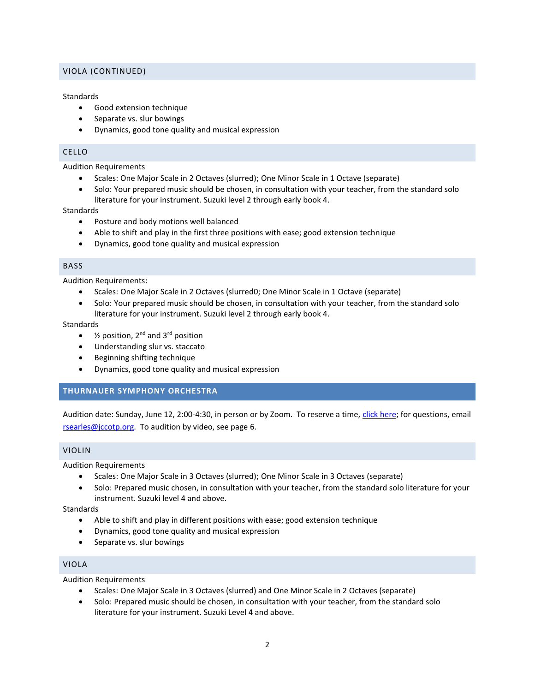# VIOLA (CONTINUED)

## **Standards**

- Good extension technique
- Separate vs. slur bowings
- Dynamics, good tone quality and musical expression

# CELLO

Audition Requirements

- Scales: One Major Scale in 2 Octaves (slurred); One Minor Scale in 1 Octave (separate)
- Solo: Your prepared music should be chosen, in consultation with your teacher, from the standard solo literature for your instrument. Suzuki level 2 through early book 4.

**Standards** 

- Posture and body motions well balanced
- Able to shift and play in the first three positions with ease; good extension technique
- Dynamics, good tone quality and musical expression

## BASS

Audition Requirements:

- Scales: One Major Scale in 2 Octaves (slurred0; One Minor Scale in 1 Octave (separate)
- Solo: Your prepared music should be chosen, in consultation with your teacher, from the standard solo literature for your instrument. Suzuki level 2 through early book 4.

Standards

- $\frac{1}{2}$  position, 2<sup>nd</sup> and 3<sup>rd</sup> position
- Understanding slur vs. staccato
- Beginning shifting technique
- Dynamics, good tone quality and musical expression

# **THURNAUER SYMPHONY ORCHESTRA**

Audition date: Sunday, June 12, 2:00-4:30, in person or by Zoom. To reserve a time, [click here;](https://www.signupgenius.com/go/10C0B48A9AF28ABFB6-thurnauer1) for questions, email [rsearles@jccotp.org.](mailto:rsearles@jccotp.org) To audition by video, see page 6.

#### VIOLIN

Audition Requirements

- Scales: One Major Scale in 3 Octaves (slurred); One Minor Scale in 3 Octaves (separate)
- Solo: Prepared music chosen, in consultation with your teacher, from the standard solo literature for your instrument. Suzuki level 4 and above.

**Standards** 

- Able to shift and play in different positions with ease; good extension technique
- Dynamics, good tone quality and musical expression
- Separate vs. slur bowings

# VIOLA

Audition Requirements

- Scales: One Major Scale in 3 Octaves (slurred) and One Minor Scale in 2 Octaves (separate)
- Solo: Prepared music should be chosen, in consultation with your teacher, from the standard solo literature for your instrument. Suzuki Level 4 and above.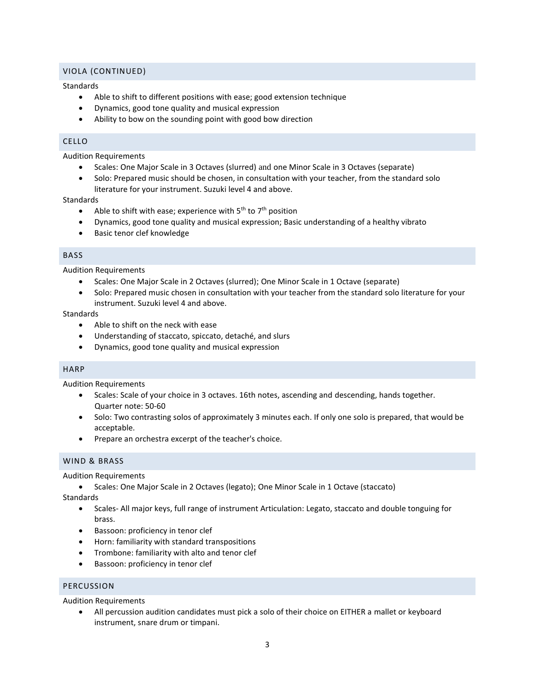## VIOLA (CONTINUED)

## **Standards**

- Able to shift to different positions with ease; good extension technique
- Dynamics, good tone quality and musical expression
- Ability to bow on the sounding point with good bow direction

# CELLO

Audition Requirements

- Scales: One Major Scale in 3 Octaves (slurred) and one Minor Scale in 3 Octaves (separate)
- Solo: Prepared music should be chosen, in consultation with your teacher, from the standard solo literature for your instrument. Suzuki level 4 and above.

#### **Standards**

- Able to shift with ease; experience with  $5<sup>th</sup>$  to  $7<sup>th</sup>$  position
- Dynamics, good tone quality and musical expression; Basic understanding of a healthy vibrato
- Basic tenor clef knowledge

#### BASS

Audition Requirements

- Scales: One Major Scale in 2 Octaves (slurred); One Minor Scale in 1 Octave (separate)
- Solo: Prepared music chosen in consultation with your teacher from the standard solo literature for your instrument. Suzuki level 4 and above.

#### **Standards**

- Able to shift on the neck with ease
- Understanding of staccato, spiccato, detaché, and slurs
- Dynamics, good tone quality and musical expression

## HARP

Audition Requirements

- Scales: Scale of your choice in 3 octaves. 16th notes, ascending and descending, hands together. Quarter note: 50-60
- Solo: Two contrasting solos of approximately 3 minutes each. If only one solo is prepared, that would be acceptable.
- Prepare an orchestra excerpt of the teacher's choice.

# WIND & BRASS

Audition Requirements

• Scales: One Major Scale in 2 Octaves (legato); One Minor Scale in 1 Octave (staccato)

Standards

- Scales- All major keys, full range of instrument Articulation: Legato, staccato and double tonguing for brass.
- Bassoon: proficiency in tenor clef
- Horn: familiarity with standard transpositions
- Trombone: familiarity with alto and tenor clef
- Bassoon: proficiency in tenor clef

# PERCUSSION

Audition Requirements

• All percussion audition candidates must pick a solo of their choice on EITHER a mallet or keyboard instrument, snare drum or timpani.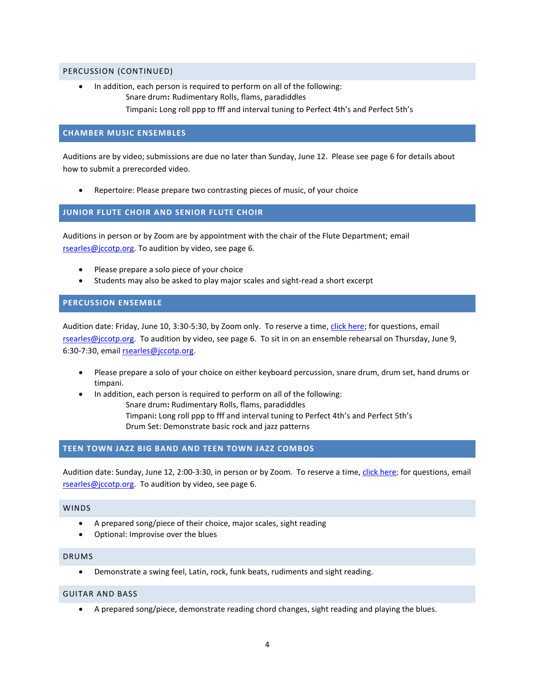#### PERCUSSION (CONTINUED)

• In addition, each person is required to perform on all of the following: Snare drum**:** Rudimentary Rolls, flams, paradiddles Timpani**:** Long roll ppp to fff and interval tuning to Perfect 4th's and Perfect 5th's

## **CHAMBER MUSIC ENSEMBLES**

Auditions are by video; submissions are due no later than Sunday, June 12. Please see page 6 for details about how to submit a prerecorded video.

• Repertoire: Please prepare two contrasting pieces of music, of your choice

# **JUNIOR FLUTE CHOIR AND SENIOR FLUTE CHOIR**

Auditions in person or by Zoom are by appointment with the chair of the Flute Department; email [rsearles@jccotp.org.](mailto:rsearles@jccotp.org) To audition by video, see page 6.

- Please prepare a solo piece of your choice
- Students may also be asked to play major scales and sight-read a short excerpt

## **PERCUSSION ENSEMBLE**

Audition date: Friday, June 10, 3:30-5:30, by Zoom only. To reserve a time, [click here;](https://www.signupgenius.com/go/10C0B48A9AF28ABFB6-percussion) for questions, email [rsearles@jccotp.org.](mailto:rsearles@jccotp.org) To audition by video, see page 6. To sit in on an ensemble rehearsal on Thursday, June 9, 6:30-7:30, email [rsearles@jccotp.org.](mailto:rsearles@jccotp.org)

- Please prepare a solo of your choice on either keyboard percussion, snare drum, drum set, hand drums or timpani.
- In addition, each person is required to perform on all of the following: Snare drum**:** Rudimentary Rolls, flams, paradiddles Timpani**:** Long roll ppp to fff and interval tuning to Perfect 4th's and Perfect 5th's Drum Set: Demonstrate basic rock and jazz patterns

# **TEEN TOWN JAZZ BIG BAND AND TEEN TOWN JAZZ COMBOS**

Audition date: Sunday, June 12, 2:00-3:30, in person or by Zoom. To reserve a time, [click here;](https://www.signupgenius.com/go/10C0B48A9AF28ABFB6-teen) for questions, email [rsearles@jccotp.org.](mailto:rsearles@jccotp.org) To audition by video, see page 6.

#### WINDS

- A prepared song/piece of their choice, major scales, sight reading
- Optional: Improvise over the blues

#### DRUMS

• Demonstrate a swing feel, Latin, rock, funk beats, rudiments and sight reading.

## GUITAR AND BASS

• A prepared song/piece, demonstrate reading chord changes, sight reading and playing the blues.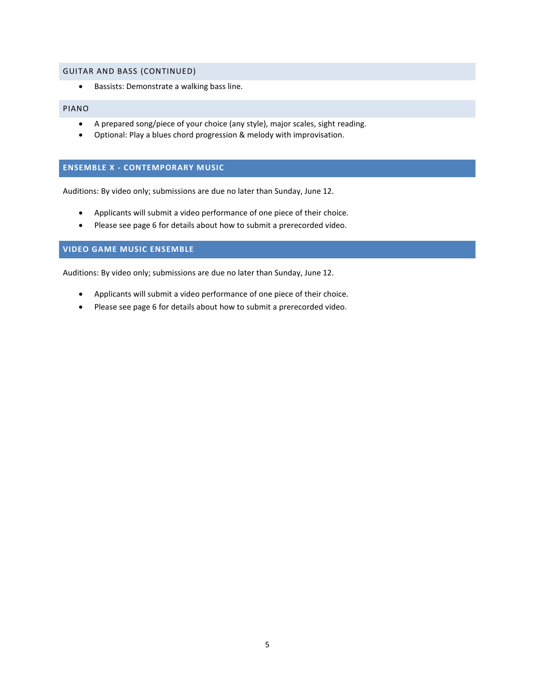## GUITAR AND BASS (CONTINUED)

• Bassists: Demonstrate a walking bass line.

### PIANO

- A prepared song/piece of your choice (any style), major scales, sight reading.
- Optional: Play a blues chord progression & melody with improvisation.

#### **ENSEMBLE X - CONTEMPORARY MUSIC**

Auditions: By video only; submissions are due no later than Sunday, June 12.

- Applicants will submit a video performance of one piece of their choice.
- Please see page 6 for details about how to submit a prerecorded video.

### **VIDEO GAME MUSIC ENSEMBLE**

Auditions: By video only; submissions are due no later than Sunday, June 12.

- Applicants will submit a video performance of one piece of their choice.
- Please see page 6 for details about how to submit a prerecorded video.